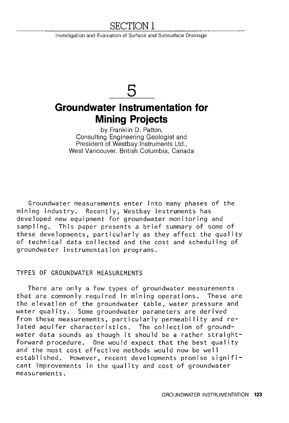## SECTION 1

Investigation and Evaluation of Surface and Subsurface Drainage

# **5**

# **Groundwater Instrumentation for Mining Projects**

by Franklin D. Patton, Consulting Engineering Geologist and President of Westbay Instruments Ltd., West Vancouver, British Columbia, Canada

Groundwater measurements enter into many phases of the mining industry. Recently, Westbay Instruments has developed new equipment for groundwater monitoring and sampling. This paper presents a brief summary of some of these developments, particularly as they affect the quality of technical data collected and the cost and scheduling of groundwater instrumentation programs.

#### TYPES OF GROUNDWATER MEASUREMENTS

There are only a few types of groundwater measurements that are commonly required in mining operations. These are the elevation of the groundwater table, water pressure and water quality. Some groundwater parameters are derived from these measurements, particularly permeability and related aquifer characteristics. The collection of groundwater data sounds as though it should be a rather straightforward procedure. One would expect that the best quality and the most cost effective methods would now be well established. However, recent developments promise significant improvements in the quality and cost of groundwater measurements.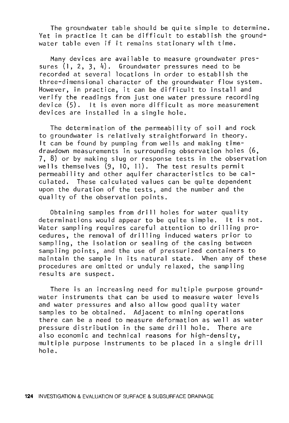The groundwater table should be quite simple to determine. Yet in practice it can be difficult to establish the groundwater table even if it remains stationary with time.

Many devices are available to measure groundwater pressures (1, 2, 3, 4). Groundwater pressures need to be recorded at several locations in order to establish the three-dimensional character of the groundwater flow system. However, in practice, it can be difficult to install and verify the readings from just one water pressure recording device (5). It is even more difficult as more measurement devices are installed in a single hole.

The determination of the permeability of soil and rock to groundwater is relatively straightforward in theory. It can be found by pumping from wells and making timedrawdown measurements in surrounding observation holes (6, 7, 8) or by making slug or response tests in the observation wells themselves (9, 10, 11). The test results permit permeability and other aquifer characteristics to be calculated. These calculated values can be quite dependent upon the duration of the tests, and the number and the quality of the observation points.

Obtaining samples from drill holes for water quality determinations would appear to be quite simple. It is not. Water sampling requires careful attention to drilling procedures, the removal of drilling induced waters prior to sampling, the isolation or sealing of the casing between sampling points, and the use of pressurized containers to maintain the sample in its natural state. When any of these procedures are omitted or unduly relaxed, the sampling results are suspect.

There is an increasing need for multiple purpose groundwater instruments that can be used to measure water levels and water pressures and also allow good quality water samples to be obtained. Adjacent to mining operations there can be a need to measure deformation as well as water pressure distribution in the same drill hole. There are also economic and technical reasons for high-density, multiple purpose instruments to be placed in a single drill hole.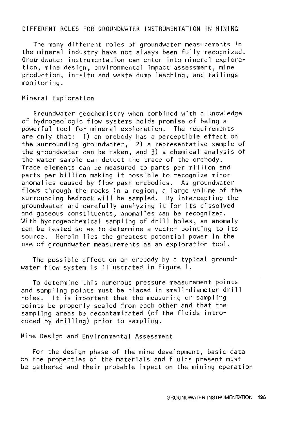#### DIFFERENT ROLES FOR GROUNDWATER INSTRUMENTATION IN MINING

The many different roles of groundwater measurements in the mineral industry have not always been fully recognized. Groundwater instrumentation can enter into mineral exploration, mine design, environmental impact assessment, mine production, in-situ and waste dump leaching, and tailings monitoring.

#### Mineral Exploration

Groundwater geochemistry when combined with a knowledge of hydrogeologic flow systems holds promise of being a powerful tool for mineral exploration. The requirements are only that: 1) an orebody has a perceptible effect on the surrounding groundwater, 2) a representative sample of the groundwater can be taken, and 3) a chemical analysis of the water sample can detect the trace of the orebody. Trace elements can be measured to parts per mill ion and parts per billion making it possible to recognize minor anomalies caused by flow past orebodies. As groundwater flows through the rocks in a region, a large volume of the surrounding bedrock will be sampled. By intercepting the groundwater and carefully analyzing it for its dissolved and gaseous constituents, anomalies can be recognized. With hydrogeochemical sampling of drill holes, an anomaly can be tested so as to determine a vector pointing to its source. Herein lies the greatest potential power in the use of groundwater measurements as an exploration tool.

The possible effect on an orebody by a typical groundwater flow system is illustrated in Figure 1.

To determine this numerous pressure measurement points and sampling points must be placed in small-diameter drill holes. It is important that the measuring or sampling points be properly sealed from each other and that the sampling areas be decontaminated (of the fluids introduced by drilling) prior to sampling.

Mine Design and Environmental Assessment

For the design phase of the mine development, basic data on the properties of the materials and fluids present must be gathered and their probable impact on the mining operation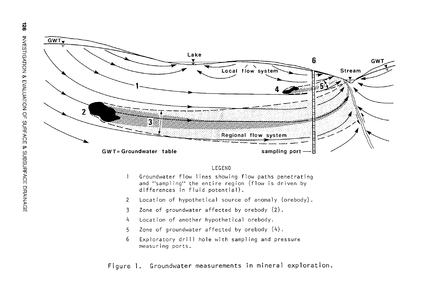

#### LEGEND

- Groundwater flow lines showing flow paths penetrating  $\mathbf{1}$ and "sampling" the entire region (flow is driven by differences in fluid potential).
- 2 Location of hypothetical source of anomaly (orebody).
- 3 Zone of groundwater affected by orebody (2).
- 4 Location of another hypothetical orebody.
- 5 Zone of groundwater affected by orebody (4).
- 6 Exploratory drill hole with sampling and pressure measuring ports.

Figure l. Groundwater measurements **in** mineral exploration.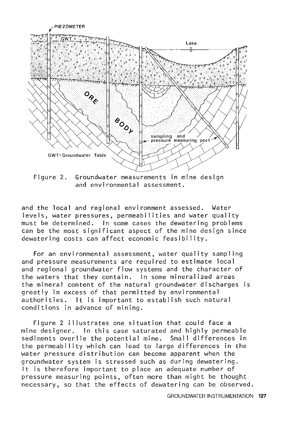

Figure 2. Groundwater measurements in mine design and environmental assessment.

and the local and regional environment assessed. Water levels, water pressures, permeabilities and water quality must be determined. In some cases the dewatering problems can be the most significant aspect of the mine design since dewatering costs can affect economic feasibility.

For an environmental assessment, water quality sampling and pressure measurements are required to estimate local and regional groundwater flow systems and the character of the waters that they contain. In some mineralized areas the mineral content of the natural groundwater discharges is greatly in excess of that permitted by environmental authorities. It is important to establish such natural conditions in advance of mining.

Figure 2 illustrates one situation that could face a mine designer. In this case saturated and highly permeable sediments overlie the potential mine. Small differences in the permeability which can lead to large differences in the water pressure distribution can become apparent when the groundwater system is stressed such as during dewatering. It is therefore important to place an adequate number of pressure measuring points, often more than might be thought necessary, so that the effects of dewatering can be observed.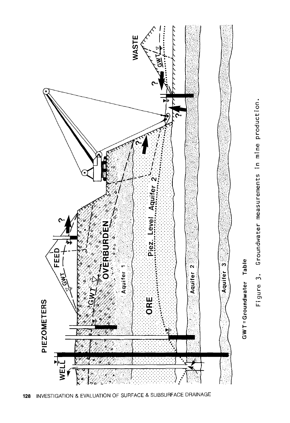

c 0 product Q) c E c measurements Groundwater gure 3 LL.

undwater  $GWT = Gr$ 

Table

 $\overline{\overline{6}}$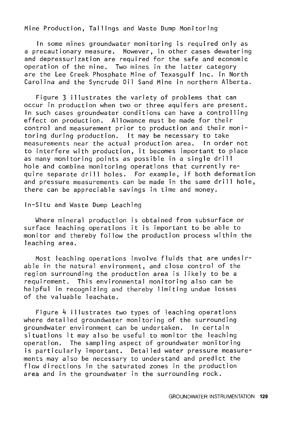Mine Production, Tailings and Waste Dump Monitoring

In some mines groundwater monitoring is required only as a precautionary measure. However, in other cases dewatering and depressurization are required for the safe and economic operation of the mine. Two mines in the latter category are the Lee Creek Phosphate Mine of Texasgulf Inc. in North Carolina and the Syncrude Oil Sand Mine in northern Alberta.

Figure 3 illustrates the variety of problems that can occur in production when two or three aquifers are present. In such cases groundwater conditions can have a controlling effect on production. Allowance must be made for their control and measurement prior to production and their monitoring during production. It may be necessary to take measurements near the actual production area. In order not to interfere with production, it becomes important to place as many monitoring points as possible in a single drill hole and combine monitoring operations that currently require separate drill holes. For example, if both deformation and pressure measurements can be made in the same drill hole, there can be appreciable savings in time and money.

In-Situ and Waste Dump Leaching

Where mineral production is obtained from subsurface or surface leaching operations it is important to be able to monitor and thereby follow the production process within the leaching area.

Most leaching operations involve fluids that are undesirable in the natural environment, and close control of the region surrounding the production area is likely to be a requirement. This environmental monitoring also can be helpful in recognizing and thereby limiting undue losses of the valuable leachate.

Figure 4 illustrates two types of leaching operations where detailed groundwater monitoring of the surrounding groundwater environment can be undertaken. In certain situations it may also be useful to monitor the leaching operation. The sampling aspect of groundwater monitoring is particularly important. Detailed water pressure measurements may also be necessary to understand and predict the flow directions in the saturated zones in the production area and in the groundwater in the surrounding rock.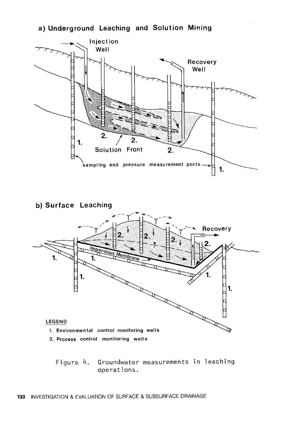#### a) Underground Leaching and Solution Mining





Figure 4. Groundwater measurements in leaching operations.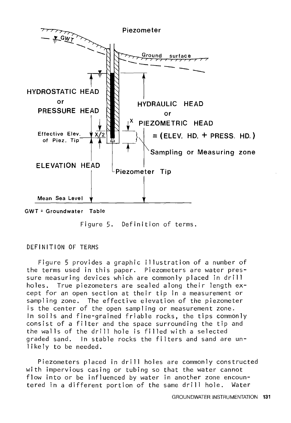

Figure 5. Definition of terms.

#### DEFINITION OF TERMS

Figure 5 provides a graphic illustration of a number of the terms used in this paper. Piezometers are water pressure measuring devices which are commonly placed in drill holes. True piezometers are sealed along their length except for an open section at their tip in a measurement or sampling zone. The effective elevation of the piezometer is the center of the open sampling or measurement zone. In soils and fine-grained friable rocks, the tips commonly consist of a filter and the space surrounding the tip and the walls of the drill hole is filled with a selected graded sand. In stable rocks the filters and sand are unlikely to be needed.

Piezometers placed in drill holes are commonly constructed with impervious casing or tubing so that the water cannot flow into or be influenced by water in another zone encountered in a different portion of the same drill hole. Water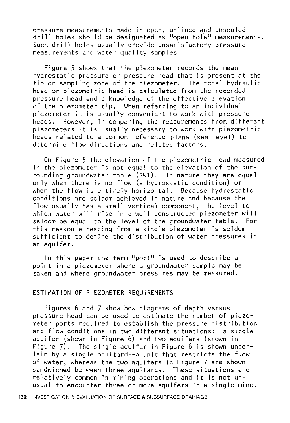pressure measurements made in open, unlined and unsealed drill holes should be designated as "open hole" measurements. Such drill holes usually provide unsatisfactory pressure measurements and water quality samples.

Figure 5 shows that the piezometer records the mean hydrostatic pressure or pressure head that is present at the tip or sampling zone of the piezometer. The total hydraulic head or piezometric head is calculated from the recorded pressure head and a knowledge of the effective elevation of the piezometer tip. When referring to an individual piezometer it is usually convenient to work with pressure<br>heads. However, in comparing the measurements from diffe However, in comparing the measurements from different piezometers it is usually necessary to work with piezometric heads related to a common reference plane (sea level) to determine flow directions and related factors.

On Figure 5 the elevation of the piezometric head measured in the piezometer is not equal to the elevation of the surrounding groundwater table (GWT). In nature they are equal only when there is no flow (a hydrostatic condition) or when the flow is entirely horizontal. Because hydrostatic conditions are seldom achieved in nature and because the flow usually has a small vertical component, the level to which water will rise in a well constructed piezometer will seldom be equal to the level of the groundwater table. For this reason a reading from a single piezometer is seldom sufficient to define the distribution of water pressures in an aquifer.

In this paper the term "port" is used to describe a point in a piezometer where a groundwater sample may be taken and where groundwater pressures may be measured.

#### ESTIMATION OF PIEZOMETER REQUIREMENTS

Figures 6 and 7 show how diagrams of depth versus pressure head can be used to estimate the number of piezometer ports required to establish the pressure distribution and flow conditions in two different situations: a single aquifer (shown in Figure 6) and two aquifers (shown in Figure 7). The single aquifer in Figure 6 is shown underlain by a single aquitard--a unit that restricts the flow of water, whereas the two aquifers in Figure 7 are shown sandwiched between three aquitards. These situations are relatively common in mining operations and it is not unusual to encounter three or more aquifers in a single mine.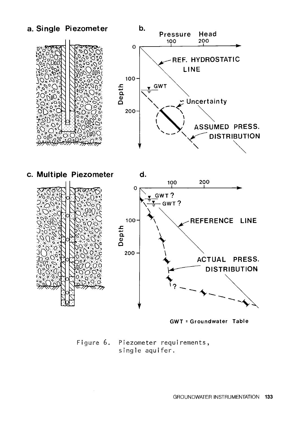

GWT =Groundwater Table

Figure 6. Piezometer requirements, single aquifer.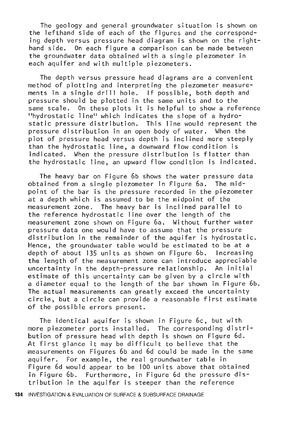The geology and general groundwater situation is shown on the lefthand side of each of the figures and the corresponding depth versus pressure head diagram is shown on the righthand side. On each figure a comparison can be made between the groundwater data obtained with a single piezometer in each aquifer and with multiple piezometers.

The depth versus pressure head diagrams are a convenient method of plotting and interpreting the piezometer measurements in a single drill hole. If possible, both depth and pressure should be plotted in the same units and to the same scale. On these plots it is helpful to show a reference "hydrostatic line" which indicates the slope of a hydrostatic pressure distribution. This line would represent the pressure distribution in an open body of water. When the plot of pressure head versus depth is inclined more steeply than the hydrostatic line, a downward flow condition is indicated. When the pressure distribution is flatter than the hydrostatic line, an upward flow condition is indicated.

The heavy bar on Figure 6b shows the water pressure data obtained from a single piezometer in Figure 6a. The midpoint of the bar is the pressure recorded in the piezometer at a depth which is assumed to be the midpoint of the measurement zone. The heavy bar is inclined parallel to the reference hydrostatic line over the length of the measurement zone shown on Figure 6a. Without further water pressure data one would have to assume that the pressure distribution in the remainder of the aquifer is hydrostatic. Hence, the groundwater table would be estimated to be at a depth of about 135 units as shown on Figure 6b. Increasing the length of the measurement zone can introduce appreciable uncertainty in the depth-pressure relationship. An initial estimate of this uncertainty can be given by a circle with a diameter equal to the length of the bar shown in Figure 6b. The actual measurements can greatly exceed the uncertainty circle, but a circle can provide a reasonable first estimate of the possible errors present.

The identical aquifer is shown in Figure 6c, but with more piezometer ports installed. The corresponding distribution of pressure head with depth is shown on Figure 6d. At first glance it may be difficult to believe that the measurements on Figures 6b and 6d could be made in the same aquifer. For example, the real groundwater table in Figure 6d would appear to be 100 units above that obtained in Figure 6b. Furthermore, in Figure 6d the pressure distribution in the aquifer is steeper than the reference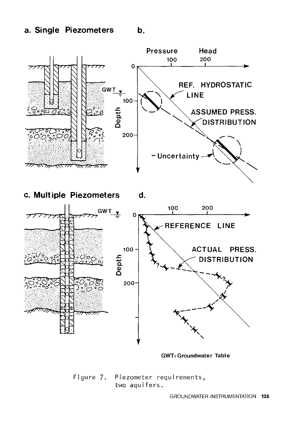### a. Single Piezometers b.



c. Multiple Piezometers d.



GWT:Groundwater Table

Figure 7. Piezometer requirements, two aquifers.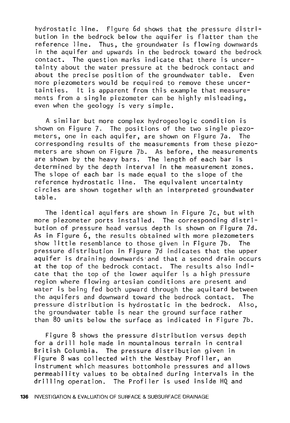hydrostatic line. Figure 6d shows that the pressure distribution in the bedrock below the aquifer is flatter than the reference line. Thus, the groundwater is flowing downwards in the aquifer and upwards in the bedrock toward the bedrock contact. The question marks indicate that there is uncertainty about the water pressure at the bedrock contact and about the precise position of the groundwater table. Even more piezometers would be required to remove these uncertainties. It is apparent from this example that measurements from a single piezometer can be highly misleading, even when the geology is very simple.

A similar but more complex hydrogeologic condition is shown on Figure 7. The positions of the two single piezometers, one in each aquifer, are shown on Figure 7a. The corresponding results of the measurements from these piezometers are shown on Figure 7b. As before, the measurements are shown by the heavy bars. The length of each bar is determined by the depth interval in the measurement zones. The slope of each bar is made equal to the slope of the reference hydrostatic line. The equivalent uncertainty circles are shown together with an interpreted groundwater table.

The identical aquifers are shown in Figure 7c, but with more piezometer ports installed. The corresponding distribution of pressure head versus depth is shown on Figure 7d. As in Figure 6, the results obtained with more piezometers show little resemblance to those given in Figure 7b. The pressure distribution in Figure 7d indicates that the upper aquifer is draining downwards·and that a second drain occurs at the top of the bedrock contact. The results also indicate that the top of the lower aquifer is a high pressure region where flowing artesian conditions are present and water is being fed both upward through the aquitard between the aquifers and downward toward the bedrock contact. The pressure distribution is hydrostatic in the bedrock. Also, the groundwater table is near the ground surface rather than 80 units below the surface as indicated in Figure 7b.

Figure 8 shows the pressure distribution versus depth for a drill hole made in mountainous terrain in central British Columbia. The pressure distribution given in Figure 8 was collected with the Westbay Profiler, an instrument which measures bottomhole pressures and allows permeability values to be obtained during intervals in the drilling operation. The Profiler is used inside HQ and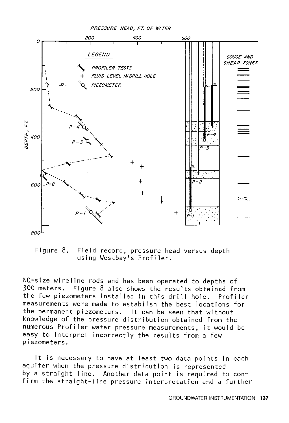

Figure 8. Field record, pressure head versus depth using Westbay's Profiler.

NQ-size wireline rods and has been operated to depths of 300 meters. Figure 8 also shows the results obtained from the few piezometers installed in this drill hole. Profiler measurements were made to establish the best locations for the permanent piezometers. It can be seen that without knowledge of the pressure distribution obtained from the numerous Profiler water pressure measurements, it would be easy to interpret incorrectly the results from a few piezometers.

It is necessary to have at least two data points in each aquifer when the pressure distribution is represented by a straight line. Another data point is required to confirm the straight-line pressure interpretation and a further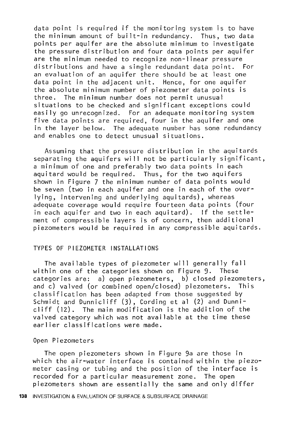data point is required if the monitoring system is to have the minimum amount of built-in redundancy. Thus, two data points per aquifer are the absolute minimum to investigate the pressure distribution and four data points per aquifer are the minimum needed to recognize non-linear pressure distributions and have a single redundant data point. For an evaluation of an aquifer there should be at least one data point in the adjacent unit. Hence, for one aquifer the absolute minimum number of piezometer data points is three. The minimum number does not permit unusual situations to be checked and significant exceptions could easily go unrecognized. For an adequate monitoring system five data points are required, four in the aquifer and one in the layer below. The adequate number has some redundancy and enables one to detect unusual situations.

Assuming that the pressure distribution in the aquitards separating the aquifers will not be particularly significant, a minimum of one and preferably two data points in each aquitard would be required. Thus, for the two aquifers shown in Figure 7 the minimum number of data points would be seven (two in each aquifer and one in each of the overlying, intervening and underlying aquitards), whereas adequate coverage would require fourteen data points (four in each aquifer and two in each aquitard). If the settlement of compressible layers is of concern, then additional piezometers would be required in any compressible aquitards.

#### TYPES OF PIEZOMETER INSTALLATIONS

The available types of piezometer will generally fall within one of the categories shown on Figure 9. These categories are: a) open piezometers, b) closed piezometers, and c) valved (or combined open/closed) piezometers. This classification has been adapted from those suggested by Schmidt and Dunnicliff (3), Cording et al (2) and Dunnicliff (12). The main modification is the addition of the valved category which was not available at the time these earlier classifications were made.

#### Open Piezometers

The open piezometers shown in Figure 9a are those in which the air-water interface is contained within the piezometer casing or tubing and the position of the interface is recorded for a particular measurement zone. The open piezometers shown are essentially the same and only differ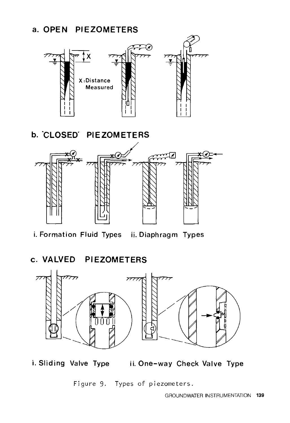# a. **OPEN PIEZOMETERS**



**b. 'CLOSED' PIEZOMETERS** 



i. Formation Fluid Types ii. Diaphragm Types

**c. VALVED Pl EZOMETERS** 



i. Sliding Valve Type ii. One-way Check Valve Type

Figure 9. Types of piezometers.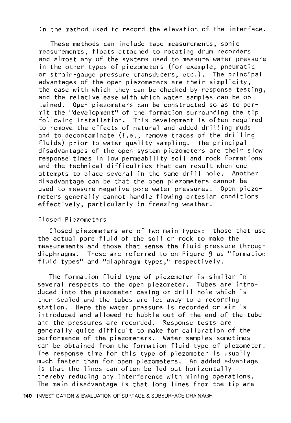in the method used to record the elevation of the interface.

These methods can include tape measurements, sonic measurements, floats attached to rotating drum recorders and almost any of the systems used to measure water pressure in the other types of piezometers (for example, pneumatic or strain-gauge pressure transducers, etc.). The principal advantages of the open piezometers are their simplicity, the ease with which they can be checked by response testing, and the relative ease with which water samples can be ob-Open piezometers can be constructed so as to permit the "development" of the formation surrounding the tip following installation. This development is often required to remove the effects of natural and added drilling muds and to decontaminate (i.e., remove traces of the drilling fluids) prior to water quality sampling. The principal disadvantages of the open system piezometers are their slow response times in low permeability soil and rock formations and the technical difficulties that can result when one<br>attempts to place several in the same drill bole. Another attempts to place several in the same drill hole. disadvantage can be that the open piezometers cannot be used to measure negative pore-water pressures. Open piezometers generally cannot handle flowing artesian conditions effectively, particularly in freezing weather.

#### Closed Piezometers

Closed piezometers are of two main types: those that use the actual pore fluid of the soil or rock to make the measurements and those that sense the fluid pressure through diaphragms. These are referred to on Figure 9 as "formation fluid types" and "diaphragm types," respectively.

The formation fluid type of piezometer is similar in several respects to the open piezometer. Tubes are introduced into the piezometer casing or drill hole which is then sealed and the tubes are led away to a recording station. Here the water pressure is recorded or air is introduced and allowed to bubble out of the end of the tube and the pressures are recorded. Response tests are generally quite difficult to make for calibration of the performance of the piezometers. Water samples sometimes can be obtained from the formation fluid type of piezometer. The response time for this type of piezometer is usually much faster than for open piezometers. An added advantage is that the lines can often be led out horizontally thereby reducing any interference with mining operations. The main disadvantage is that long lines from the tip are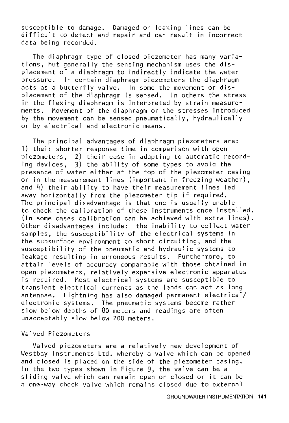susceptible to damage. Damaged or leaking lines can be difficult to detect and repair and can result in incorrect data being recorded.

The diaphragm type of closed piezometer has many variations, but generally the sensing mechanism uses the displacement of a diaphragm to indirectly indicate the water pressure. In certain diaphragm piezometers the diaphragm acts as a butterfly valve. In some the movement or displacement of the diaphragm is sensed. In others the stress in the flexing diaphragm is interpreted by strain measurements. Movement of the diaphragm or the stresses introduced by the movement can be sensed pneumatically, hydraulically or by electrical and electronic means.

The principal advantages of diaphragm piezometers are: l) their shorter response time in comparison with open piezometers, 2) their ease in adapting to automatic recording devices, 3) the ability of some types to avoid the presence of water either at the top of the piezometer casing or in the measurement lines (important in freezing weather), and 4) their ability to have their measurement lines led away horizontally from the piezometer tip if required. The principal disadvantage is that one is usually unable to check the calibration of these instruments once installed. (In some cases calibration can be achieved with extra lines). Other disadvantages include: the inability to collect water samples, the susceptibility of the electrical systems in the subsurface environment to short circuiting, and the susceptibility of the pneumatic and hydraulic systems to leakage resulting in erroneous results. Furthermore, to attain levels of accuracy comparable with those obtained in open piezometers, relatively expensive electronic apparatus is required, Most electrical systems are susceptible to transient electrical currents as the leads can act as long antennae. Lightning has also damaged permanent electrical/ electronic systems. The pneumatic systems become rather slow below depths of 80 meters and readings are often unacceptably slow below 200 meters.

Valved Piezometers

Valved piezometers are a relatively new development of Westbay Instruments Ltd. whereby a valve which can be opened and closed is placed on the side of the piezometer casing. In the two types shown in Figure 9, the valve can be a sliding valve which can remain open or closed or it can be a one-way check valve which remains closed due to external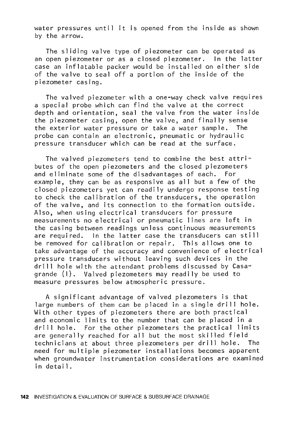water pressures until it is opened from the inside as shown by the arrow.

The sliding valve type of piezometer can be operated as an open piezometer or as a closed piezometer. In the latter case an inflatable packer would be installed on either side of the valve to seal off a portion of the inside of the piezometer casing.

The valved piezometer with a one-way check valve requires a special probe which can find the valve at the correct depth and orientation, seal the valve from the water inside the piezometer casing, open the valve, and finally sense the exterior water pressure or take a water sample. The probe can contain an electronic, pneumatic or hydraulic pressure transducer which can be read at the surface.

The valved piezometers tend to combine the best attributes of the open piezometers and the closed piezometers<br>and eliminate some of the disadvantages of each. For and eliminate some of the disadvantages of each. example, they can be as responsive as all but a few of the closed piezometers yet can readily undergo response testing to check the calibration of the transducers, the operation of the valve, and its connection to the formation outside. Also, when using electrical transducers for pressure measurements no electrical or pneumatic lines are left in the casing between readings unless continuous measurements are required. In the latter case the transducers can still be removed for calibration or repair. This allows one to take advantage of the accuracy and convenience of electrical pressure transducers without leaving such devices in the drill hole with the attendant problems discussed by Casagrande (1). Valved piezometers may readily be used to measure pressures below atmospheric pressure.

A significant advantage of valved piezometers is that large numbers of them can be placed in a single drill hole. With other types of piezometers there are both practical and economic limits to the number that can be placed in a drill hole. For the other piezometers the practical limits are generally reached for all but the most skilled field technicians at about three piezometers per drill hole. The need for multiple piezometer installations becomes apparent when groundwater instrumentation considerations are examined in detai 1.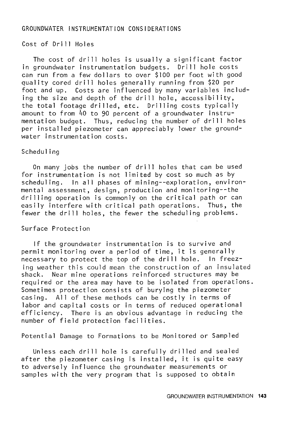#### GROUNDWATER INSTRUMENTATION CONSIDERATIONS

#### Cost of Drill Holes

The cost of drill holes is usually a significant factor in groundwater instrumentation budgets. Drill hole costs can run from a few dollars to over \$100 per foot with good quality cored drill holes generally running from \$20 per foot and up. Costs are influenced by many variables including the size and depth of the drill hole, accessibility, the total footage drilled, etc. Drilling costs typically amount to from 40 to 90 percent of a groundwater instrumentation budget. Thus, reducing the number of drill holes per installed piezometer can appreciably lower the groundwater instrumentation costs.

#### Scheduling

On many jobs the number of drill holes that can be used for instrumentation is not limited by cost so much as by scheduling. In all phases of mining--exploration, environmental assessment, design, production and monitoring--the drilling operation is commonly on the critical path or can easily interfere with critical path operations. Thus, the fewer the drill holes, the fewer the scheduling problems.

#### Surface Protection

If the groundwater instrumentation is to survive and permit monitoring over a period of time, it is generally necessary to protect the top of the drill hole. In freezing weather this could mean the construction of an insulated shack. Near mine operations reinforced structures may be required or the area may have to be isolated from operations. Sometimes protection consists of burying the piezometer casing. All of these methods can be costly in terms of labor and capital costs or in terms of reduced operational efficiency. There is an obvious advantage in reducing the number of field protection facilities.

Potential Damage to Formations to be Monitored or Sampled

Unless each drill hole is carefully drilled and sealed after the piezometer casing is installed, it is quite easy to adversely influence the groundwater measurements or samples with the very program that is supposed to obtain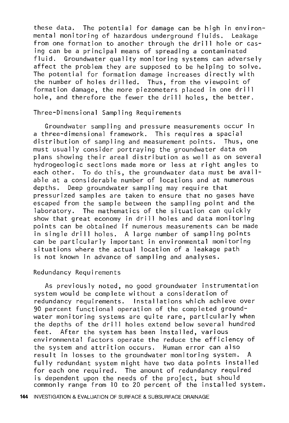these data. The potential for damage can be high in environmental monitoring of hazardous underground fluids. Leakage from one formation to another through the drill hole or casing can be a principal means of spreading a contaminated fluid. Groundwater quality monitoring systems can adversely affect the problem they are supposed to be helping to solve. The potential for formation damage increases directly with the number of holes drilled. Thus, from the viewpoint of formation damage, the more piezometers placed in one drill hole, and therefore the fewer the drill holes, the better.

Three-Dimensional Sampling Requirements

Groundwater sampling and pressure measurements occur in a three-dimensional framework. This requires a spacial distribution of sampling and measurement points. Thus, one must usually consider portraying the groundwater data on plans showing their areal distribution as well as on several hydrogeologic sections made more or less at right angles to each other. To do this, the groundwater data must be available at a considerable number of locations and at numerous depths. Deep groundwater sampling may require that pressurized samples are taken to ensure that no gases have escaped from the sample between the sampling point and the laboratory. The mathematics of the situation can quickly show that great economy in drill holes and data monitoring points can be obtained if numerous measurements can be made in single drill holes. A large number of sampling points can be particularly important in environmental monitoring situations where the actual location of a leakage path is not known in advance of sampling and analyses.

#### Redundancy Requirements

As previously noted, no good groundwater instrumentation system would be complete without a consideration of redundancy requirements. Installations which achieve over 90 percent functional operation of the completed groundwater monitoring systems are quite rare, particularly when the depths of the drill holes extend below several hundred feet. After the system has been installed, various environmental factors operate the reduce the efficiency of the system and attrition occurs. Human error can also result in losses to the groundwater monitoring system. A fully redundant system might have two data points installed for each one required. The amount of redundancy required is dependent upon the needs of the project, but should commonly range from 10 to 20 percent of the installed system.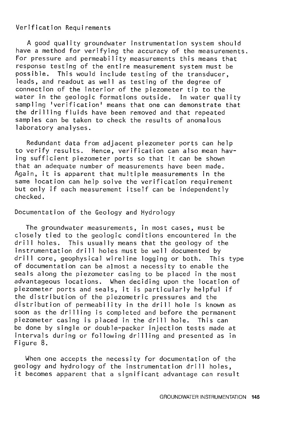#### Verification Requirements

A good quality groundwater instrumentation system should have a method for verifying the accuracy of the measurements. For pressure and permeability measurements this means that response testing of the entire measurement system must be possible. This would include testing of the transducer, leads, and readout as well as testing of the degree of connection of the interior of the piezometer tip to the water in the geologic formations outside. In water quality sampling 'verification' means that one can demonstrate that the drilling fluids have been removed and that repeated samples can be taken to check the results of anomalous laboratory analyses.

Redundant data from adjacent piezometer ports can help to verify results. Hence, verification can also mean having sufficient piezometer ports so that it can be shown that an adequate number of measurements have been made. Again, it is apparent that multiple measurements in the same location can help solve the verification requirement but only if each measurement itself can be independently checked.

#### Documentation of the Geology and Hydrology

The groundwater measurements, in most cases, must be closely tied to the geologic conditions encountered in the drill holes. This usually means that the geology of the instrumentation drill holes must be well documented by drill core, geophysical wireline logging or both. This type of documentation can be almost a necessity to enable the seals along the piezometer casing to be placed in the most advantageous locations. When deciding upon the location of piezometer ports and seals, it is particularly helpful if the distribution of the piezometric pressures and the distribution of permeability in the drill hole is known as soon as the drilling is completed and before the permanent piezometer casing is placed in the drill hole. This can be done by single or double-packer injection tests made at intervals during or following drilling and presented as in Figure 8.

When one accepts the necessity for documentation of the geology and hydrology of the instrumentation drill holes, it becomes apparent that a significant advantage can result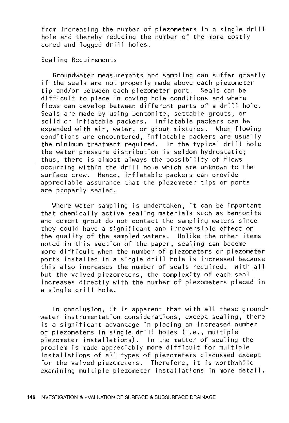from increasing the number of piezometers in a single drill hole and thereby reducing the number of the more costly cored and logged drill holes.

Sealing Requirements

Groundwater measurements and sampling can suffer greatly if the seals are not properly made above each piezometer tip and/or between each piezometer port. Seals can be difficult to place in caving hole conditions and where flows can develop between different parts of a drill hole. Seals are made by using bentonite, settable grouts, or solid or inflatable packers. Inflatable packers can be expanded with air, water, or grout mixtures. When flowing conditions are encountered, inflatable packers are usually the minimum treatment required. In the typical drill hole the water pressure distribution is seldom hydrostatic; thus, there is almost always the possibility of flows occurring within the drill hole which are unknown to the surface crew. Hence, inflatable packers can provide appreciable assurance that the piezometer tips or ports are properly sealed.

Where water sampling is undertaken, it can be important that chemically active sealing materials such as bentonite and cement grout do not contact the sampling waters since they could have a significant and irreversible effect on the quality of the sampled waters. Unlike the other items noted in this section of the paper, sealing can become more difficult when the number of piezometers or piezometer ports installed in a single drill hole is increased because this also increases the number of seals required. With all but the valved piezometers, the complexity of each seal increases directly with the number of piezometers placed in a single drill hole.

In conclusion, it is apparent that with all these groundwater instrumentation considerations, except sealing, there is a significant advantage in placing an increased number of piezometers in single drill holes (i.e., multiple piezometer installations). In the matter of sealing the problem is made appreciably more difficult for multiple installations of all types of piezometers discussed except for the valved piezometers. Therefore, it is worthwhile examining multiple piezometer installations in more detail.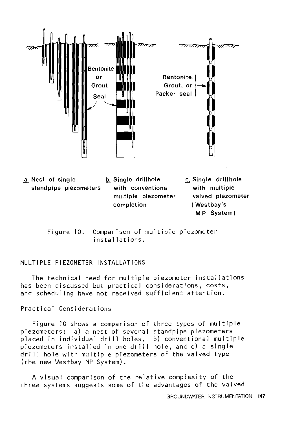

a. Nest of single  $\qquad \qquad$  b. Single drillhole . Single drillhole with multiple valved piezometer ( Westbay's standpipe piezometers with conventional multiple piezometer completion **MP** System)

> Figure 10. Comparison of multiple piezometer installations.

#### MULTIPLE PIEZOMETER INSTALLATIONS

The technical need for multiple piezometer installations has been discussed but practical considerations, costs, and scheduling have not received sufficient attention.

Practical Considerations

Figure 10 shows a comparison of three types of multiple piezometers: a) a nest of several standpipe piezometers placed in individual drill holes, b) conventional multiple piezometers installed in one drill hole, and c) a single drill hole with multiple piezometers of the valved type (the new Westbay MP System).

A visual comparison of the relative complexity of the three systems suggests some of the advantages of the valved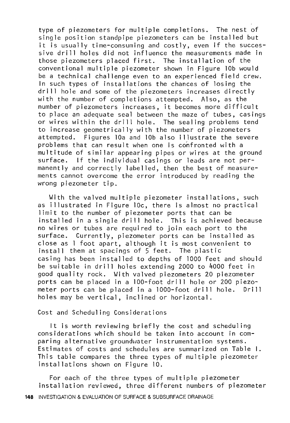type of piezometers for multiple completions. The nest of single position standpipe piezometers can be installed but it is usually time-consuming and costly, even if the successive drill holes did not influence the measurements made in those piezometers placed first. The installation of the conventional multiple piezometer shown in Figure lOb would be a technical challenge even to an experienced field crew. In such types of installations the chances of losing the drill hole and some of the piezometers increases directly with the number of completions attempted. Also, as the number of piezometers increases, it becomes more difficult to place an adequate seal between the maze of tubes, casings or wires within the drill hole. The sealing problems tend to increase geometrically with the number of piezometers attempted. Figures lOa and lOb also illustrate the severe problems that can result when one is confronted with a multitude of similar appearing pipes or wires at the ground surface. If the individual casings or leads are not permanently and correctly labelled, then the best of measurements cannot overcome the error introduced by reading the wrong piezometer tip.

With the valved multiple piezometer installations, such as illustrated in Figure lOc, there is almost no practical limit to the number of piezometer ports that can be installed in a single drill hole. This is achieved because no wires or tubes are required to join each port to the surface. Currently, piezometer ports can be installed as close as 1 foot apart, although it is most convenient to install them at spacings of 5 feet. The plastic casing has been installed to depths of 1000 feet and should be suitable in drill holes extending 2000 to 4000 feet in good quality rock. With valved piezometers 20 piezometer ports can be placed in a 100-foot drill hole or 200 piezometer ports can be placed in a 1000-foot drill hole. Drill holes may be vertical, inclined or horizontal.

#### Cost and Scheduling Considerations

It is worth reviewing briefly the cost and scheduling considerations which should be taken into account in comparing alternative groundwater instrumentation systems. Estimates of costs and schedules are summarized on Table I. This table compares the three types of multiple piezometer installations shown on Figure 10.

For each of the three types of multiple piezometer installation reviewed, three different numbers of piezometer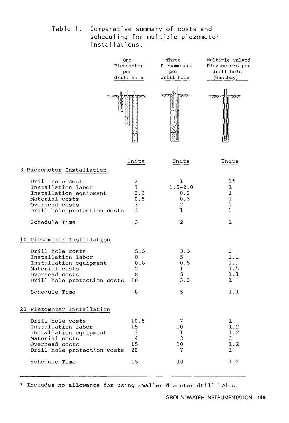Table **l.** Comparative summary of costs and scheduling for multiple piezometer installations.

|                                                                                                                                     | One<br>Piezometer<br>per<br>drill hole | Three<br>Piezometers<br>per<br>drill hole    | Multiple Valved<br>Piezometers per<br>drill hole<br>(Westbay) |
|-------------------------------------------------------------------------------------------------------------------------------------|----------------------------------------|----------------------------------------------|---------------------------------------------------------------|
|                                                                                                                                     |                                        |                                              |                                                               |
|                                                                                                                                     | Units                                  | Units                                        | Units                                                         |
| 3 Piezometer Installation                                                                                                           |                                        |                                              |                                                               |
| Drill hole costs<br>Installation labor<br>Installation equipment<br>Material costs<br>Overhead costs<br>Drill hole protection costs | 2<br>3<br>0.3<br>0.5<br>3<br>3         | 1<br>$1.5 - 2.0$<br>0.2<br>0.3<br>2<br>1     | $1*$<br>ı<br>$\mathbf{1}$<br>ı<br>ı<br>ı                      |
| Schedule Time                                                                                                                       | 3                                      | $\overline{2}$                               | $\mathbf{1}$                                                  |
| 10 Piezometer Installation                                                                                                          |                                        |                                              |                                                               |
| Drill hole costs<br>Installation labor<br>Installation equipment<br>Material costs<br>Overhead costs<br>Drill hole protection costs | 5.5<br>8<br>0.8<br>2<br>8<br>10        | 3.3<br>5.<br>0.5<br>$\mathbf{1}$<br>5<br>3.3 | 1<br>1.1<br>1.1<br>1.5<br>1.1<br>$\mathbf{1}$                 |
| Schedule Time                                                                                                                       | 8                                      | 5                                            | 1.1                                                           |
| 20 Piezometer Installation                                                                                                          |                                        |                                              |                                                               |
| Drill hole costs<br>Installation labor<br>Installation equipment<br>Material costs<br>Overhead costs<br>Drill hole protection costs | 10.5<br>15<br>3<br>4<br>15<br>20       | 7<br>10<br>ı<br>2<br>10<br>7                 | ı<br>1.2<br>1.2<br>3<br>1.2<br>ı                              |
| Schedule Time                                                                                                                       | 15                                     | 10                                           | 1.2                                                           |

\* Includes no allowance for using smaller diameter drill holes.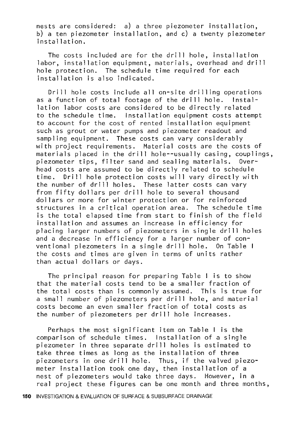nests are considered: a) a three piezometer installation, b) a ten piezometer installation, and c) a twenty piezometer installation.

The costs included are for the drill hole, installation labor, installation equipment, materials, overhead and drill hole protection. The schedule time required for each installation is also indicated.

Drill hole costs include all on-site drilling operations as a function of total footage of the drill hole. Installation labor costs are considered to be directly related to the schedule time. Installation equipment costs attempt to account for the cost of rented installation equipment such as grout or water pumps and piezometer readout and sampling equipment. These costs can vary considerably with project requirements. Material costs are the costs of materials placed in the drill hole--usually casing, couplings,<br>piezometer tips, filter sand and sealing materials, Overpiezometer tips, filter sand and sealing materials. head costs are assumed to be directly related to schedule time. Drill hole protection costs will vary directly with the number of drill holes. These latter costs can vary from fifty dollars per drill hole to several thousand dollars or more for winter protection or for reinforced structures in a critical operation area. The schedule time is the total elapsed time from start to finish of the field installation and assumes an increase in efficiency for placing larger numbers of piezometers in single drill holes and a decrease in efficiency for a larger number of conventional piezometers in a single drill hole. On Table I the costs and times are given in terms of units rather than actual dollars or days.

The principal reason for preparing Table I is to show that the material costs tend to be a smaller fraction of the total costs than is commonly assumed. This is true for a small number of piezometers per drill hole, and material costs become an even smaller fraction of total costs as the number of piezometers per drill hole increases.

Perhaps the most significant item on Table I is the comparison of schedule times. Installation of a single piezometer in three separate drill holes is estimated to take three times as long as the installation of three piezometers in one drill hole. Thus, if the valved piezometer installation took one day, then installation of a nest of piezometers would take three days. However, in a real project these figures can be one month and three months,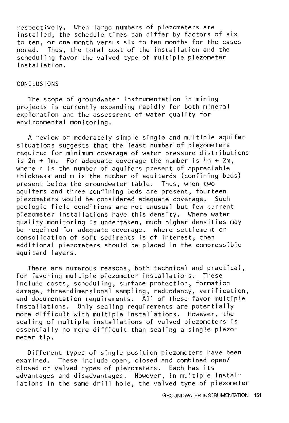respectively. When large numbers of piezometers are installed, the schedule times can differ by factors of six to ten, or one month versus six to ten months for the cases noted. Thus, the total cost of the installation and the scheduling favor the valved type of multiple piezometer installation.

#### CONCLUSIONS

The scope of groundwater instrumentation in mining projects is currently expanding rapidly for both mineral exploration and the assessment of water quality for environmental monitoring.

A review of moderately simple single and multiple aquifer situations suggests that the least number of piezometers required for minimum coverage of water pressure distributions is  $2n + Im$ . For adequate coverage the number is  $4n + 2m$ , where n is the number of aquifers present of appreciable thickness and m is the number of aquitards (confining beds) present below the groundwater table. Thus, when two aquifers and three confining beds are present, fourteen<br>piezometers would be considered adequate coverage. Such piezometers would be considered adequate coverage. geologic field conditions are not unusual but few current piezometer installations have this density. Where water quality monitoring is undertaken, much higher densities may be required for adequate coverage. Where settlement or consolidation of soft sediments is of interest, then additional piezometers should be placed in the compressible aquitard layers.

There are numerous reasons, both technical and practical, for favoring multiple piezometer installations. These include costs, scheduling, surface protection, formation damage, three-dimensional sampling, redundancy, verification, and documentation requirements. All of these favor multiple installations. Only sealing requirements are potentially more difficult with multiple installations. However, the sealing of multiple installations of valved piezometers is essentially no more difficult than sealing a single piezometer tip.

Different types of single position piezometers have been examined. These include open, closed and combined open/ closed or valved types of piezometers. Each has its advantages and disadvantages. However, in multiple installations in the same drill hole, the valved type of piezometer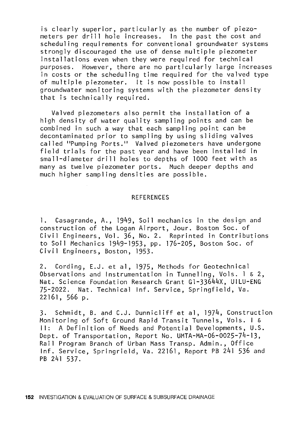is clearly superior, particularly as the number of piezometers per drill hole increases. In the past the cost and scheduling requirements for conventional groundwater systems strongly discouraged the use of dense multiple piezometer installations even when they were required for technical purposes. However, there are no particularly large increases in costs or the scheduling time required for the valved type of multiple piezometer. It is now possible to install groundwater monitoring systems with the piezometer density that is technically required.

Valved piezometers also permit the installation of a high density of water quality sampling points and can be combined in such a way that each sampling point can be decontaminated prior to sampling by using sliding valves called "Pumping Ports." Valved piezometers have undergone field trials for the past year and have been installed in small-diameter drill holes to depths of 1000 feet with as many as twelve piezometer ports. Much deeper depths and much higher sampling densities are possible.

#### **REFERENCES**

1. Casagrande, A., 1949, Soil mechanics in the design and construction of the Logan Airport, Jour. Boston Soc. of Civil Engineers, Vol. 36, No. 2. Reprinted in Contributions to Soil Mechanics 1949-1953, pp. 176-205, Boston Soc. of Civil Engineers, Boston, 1953.

2. Cording, E.J. et al, 1975, Methods for Geotechnical Observations and Instrumentation in Tunneling, Vols. 1 & 2, Nat. Science Foundation Research Grant Gl-33644X, UILU-ENG 75-2022. Nat. Technical Inf. Service, Springfield, Va. 22161, 566 p.

3. Schmidt, B. and C.J. Dunnicliff et al, 1974, Construction Monitoring of Soft Ground Rapid Transit Tunnels, Vols. I & II: A Definition of Needs and Potential Developments, U.S. Dept. of Transportation, Report No. UMTA-MA-06-0025-74-13, Rail Program Branch of Urban Mass Transp. Admin., Office Inf. Service, Springrield, Va. 22161, Report PB 241 536 and PB 241 537.